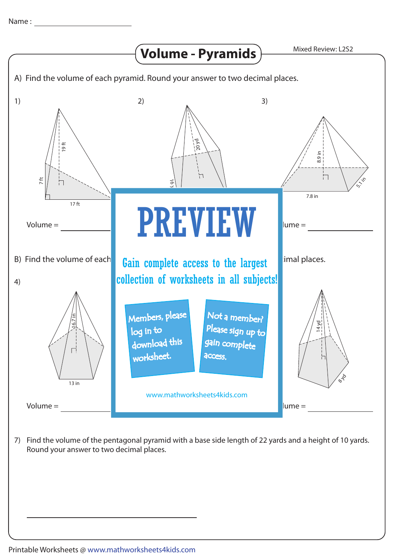

7) Find the volume of the pentagonal pyramid with a base side length of 22 yards and a height of 10 yards. Round your answer to two decimal places.